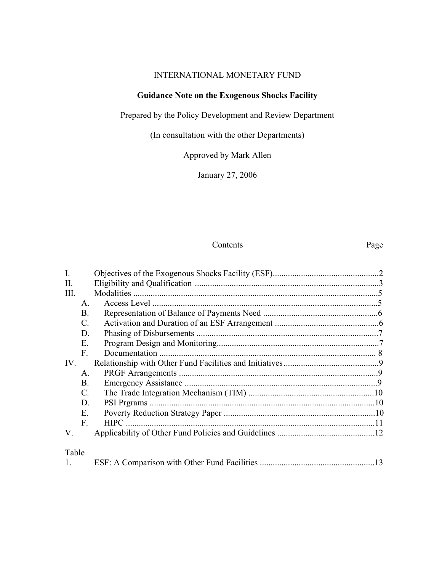# INTERNATIONAL MONETARY FUND

# **Guidance Note on the Exogenous Shocks Facility**

Prepared by the Policy Development and Review Department

(In consultation with the other Departments)

Approved by Mark Allen

January 27, 2006

#### Contents Page

| $\overline{I}$ . |                 |             |     |
|------------------|-----------------|-------------|-----|
| $\prod$ .        |                 |             |     |
| Ш.               |                 |             |     |
|                  | $A_{\cdot}$     |             |     |
|                  | <b>B.</b>       |             |     |
|                  | $\mathcal{C}$ . |             |     |
|                  | D.              |             |     |
|                  | Ε.              |             |     |
|                  | F.              |             |     |
| IV.              |                 |             |     |
|                  | $A_{\cdot}$     |             |     |
|                  | Β.              |             |     |
|                  | C.              |             |     |
|                  | D.              |             |     |
|                  | E.              |             |     |
|                  | $F_{\cdot}$     | <b>HIPC</b> |     |
| V.               |                 |             |     |
| Table            |                 |             |     |
|                  |                 |             | -13 |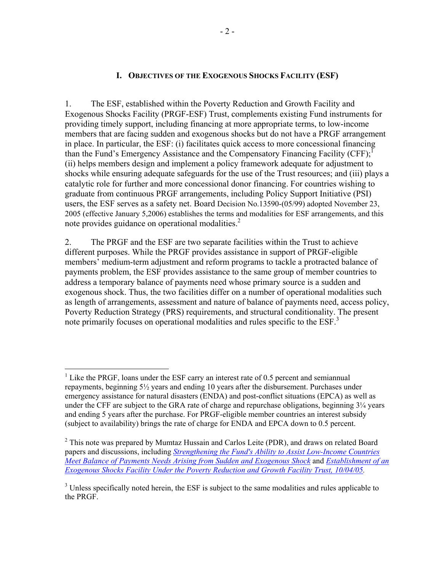#### **I. OBJECTIVES OF THE EXOGENOUS SHOCKS FACILITY (ESF)**

1. The ESF, established within the Poverty Reduction and Growth Facility and Exogenous Shocks Facility (PRGF-ESF) Trust, complements existing Fund instruments for providing timely support, including financing at more appropriate terms, to low-income members that are facing sudden and exogenous shocks but do not have a PRGF arrangement in place. In particular, the ESF: (i) facilitates quick access to more concessional financing than the Fund's Emergency Assistance and the Compensatory Financing Facility (CFF);<sup>1</sup> (ii) helps members design and implement a policy framework adequate for adjustment to shocks while ensuring adequate safeguards for the use of the Trust resources; and (iii) plays a catalytic role for further and more concessional donor financing. For countries wishing to graduate from continuous PRGF arrangements, including Policy Support Initiative (PSI) users, the ESF serves as a safety net. Board Decision No.13590-(05/99) adopted November 23, 2005 (effective January 5,2006) establishes the terms and modalities for ESF arrangements, and this note provides guidance on operational modalities. $2^2$ 

2. The PRGF and the ESF are two separate facilities within the Trust to achieve different purposes. While the PRGF provides assistance in support of PRGF-eligible members' medium-term adjustment and reform programs to tackle a protracted balance of payments problem, the ESF provides assistance to the same group of member countries to address a temporary balance of payments need whose primary source is a sudden and exogenous shock. Thus, the two facilities differ on a number of operational modalities such as length of arrangements, assessment and nature of balance of payments need, access policy, Poverty Reduction Strategy (PRS) requirements, and structural conditionality. The present note primarily focuses on operational modalities and rules specific to the ESF.<sup>3</sup>

 $<sup>1</sup>$  Like the PRGF, loans under the ESF carry an interest rate of 0.5 percent and semiannual</sup> repayments, beginning  $5\frac{1}{2}$  years and ending 10 years after the disbursement. Purchases under emergency assistance for natural disasters (ENDA) and post-conflict situations (EPCA) as well as under the CFF are subject to the GRA rate of charge and repurchase obligations, beginning  $3\frac{1}{4}$  years and ending 5 years after the purchase. For PRGF-eligible member countries an interest subsidy (subject to availability) brings the rate of charge for ENDA and EPCA down to 0.5 percent.

 $2$  This note was prepared by Mumtaz Hussain and Carlos Leite (PDR), and draws on related Board papers and discussions, including *[Strengthening the Fund's Ability to Assist Low-Income Countries](http://www.imf.org/external/np/pp/eng/2005/061005e.pdf)  [Meet Balance of Payments Needs Arising from Sudden and Exogenous Shock](http://www.imf.org/external/np/pp/eng/2005/061005e.pdf)* and *[Establishment of an](http://www.imf.org/external/np/pp/eng/2005/100405.pdf)  [Exogenous Shocks Facility Under the Poverty Reduction and Growth Facility Trust, 10/04/05.](http://www.imf.org/external/np/pp/eng/2005/100405.pdf)* 

 $3$  Unless specifically noted herein, the ESF is subject to the same modalities and rules applicable to the PRGF.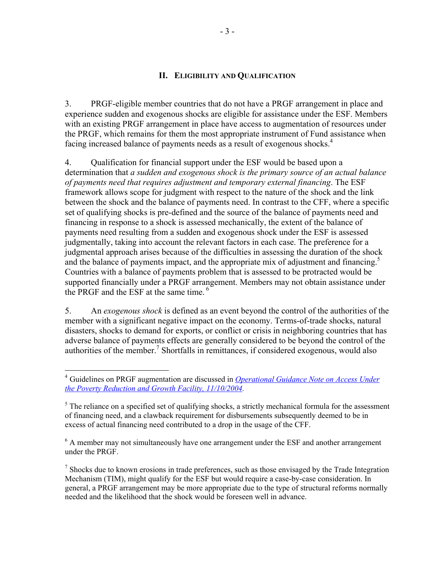#### **II. ELIGIBILITY AND QUALIFICATION**

3. PRGF-eligible member countries that do not have a PRGF arrangement in place and experience sudden and exogenous shocks are eligible for assistance under the ESF. Members with an existing PRGF arrangement in place have access to augmentation of resources under the PRGF, which remains for them the most appropriate instrument of Fund assistance when facing increased balance of payments needs as a result of exogenous shocks.<sup>4</sup>

4. Qualification for financial support under the ESF would be based upon a determination that *a sudden and exogenous shock is the primary source of an actual balance of payments need that requires adjustment and temporary external financing*. The ESF framework allows scope for judgment with respect to the nature of the shock and the link between the shock and the balance of payments need. In contrast to the CFF, where a specific set of qualifying shocks is pre-defined and the source of the balance of payments need and financing in response to a shock is assessed mechanically, the extent of the balance of payments need resulting from a sudden and exogenous shock under the ESF is assessed judgmentally, taking into account the relevant factors in each case. The preference for a judgmental approach arises because of the difficulties in assessing the duration of the shock and the balance of payments impact, and the appropriate mix of adjustment and financing.<sup>5</sup> Countries with a balance of payments problem that is assessed to be protracted would be supported financially under a PRGF arrangement. Members may not obtain assistance under the PRGF and the ESF at the same time.<sup>6</sup>

5. An *exogenous shock* is defined as an event beyond the control of the authorities of the member with a significant negative impact on the economy. Terms-of-trade shocks, natural disasters, shocks to demand for exports, or conflict or crisis in neighboring countries that has adverse balance of payments effects are generally considered to be beyond the control of the authorities of the member.<sup>7</sup> Shortfalls in remittances, if considered exogenous, would also

1

<sup>6</sup> A member may not simultaneously have one arrangement under the ESF and another arrangement under the PRGF.

<sup>4</sup> Guidelines on PRGF augmentation are discussed in *[Operational Guidance Note on Access Under](http://www.imf.org/external/np/prgf/2004/110904.htm)  [the Poverty Reduction and Growth Facility, 11/10/2004.](http://www.imf.org/external/np/prgf/2004/110904.htm)* 

 $<sup>5</sup>$  The reliance on a specified set of qualifying shocks, a strictly mechanical formula for the assessment</sup> of financing need, and a clawback requirement for disbursements subsequently deemed to be in excess of actual financing need contributed to a drop in the usage of the CFF.

 $<sup>7</sup>$  Shocks due to known erosions in trade preferences, such as those envisaged by the Trade Integration</sup> Mechanism (TIM), might qualify for the ESF but would require a case-by-case consideration. In general, a PRGF arrangement may be more appropriate due to the type of structural reforms normally needed and the likelihood that the shock would be foreseen well in advance.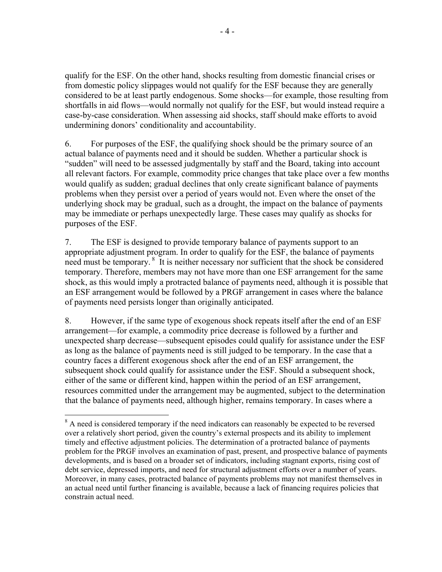qualify for the ESF. On the other hand, shocks resulting from domestic financial crises or from domestic policy slippages would not qualify for the ESF because they are generally considered to be at least partly endogenous. Some shocks—for example, those resulting from shortfalls in aid flows—would normally not qualify for the ESF, but would instead require a case-by-case consideration. When assessing aid shocks, staff should make efforts to avoid undermining donors' conditionality and accountability.

6. For purposes of the ESF, the qualifying shock should be the primary source of an actual balance of payments need and it should be sudden. Whether a particular shock is "sudden" will need to be assessed judgmentally by staff and the Board, taking into account all relevant factors. For example, commodity price changes that take place over a few months would qualify as sudden; gradual declines that only create significant balance of payments problems when they persist over a period of years would not. Even where the onset of the underlying shock may be gradual, such as a drought, the impact on the balance of payments may be immediate or perhaps unexpectedly large. These cases may qualify as shocks for purposes of the ESF.

7. The ESF is designed to provide temporary balance of payments support to an appropriate adjustment program. In order to qualify for the ESF, the balance of payments need must be temporary. 8 It is neither necessary nor sufficient that the shock be considered temporary. Therefore, members may not have more than one ESF arrangement for the same shock, as this would imply a protracted balance of payments need, although it is possible that an ESF arrangement would be followed by a PRGF arrangement in cases where the balance of payments need persists longer than originally anticipated.

8. However, if the same type of exogenous shock repeats itself after the end of an ESF arrangement—for example, a commodity price decrease is followed by a further and unexpected sharp decrease—subsequent episodes could qualify for assistance under the ESF as long as the balance of payments need is still judged to be temporary. In the case that a country faces a different exogenous shock after the end of an ESF arrangement, the subsequent shock could qualify for assistance under the ESF. Should a subsequent shock, either of the same or different kind, happen within the period of an ESF arrangement, resources committed under the arrangement may be augmented, subject to the determination that the balance of payments need, although higher, remains temporary. In cases where a

 $\overline{a}$  $8$  A need is considered temporary if the need indicators can reasonably be expected to be reversed over a relatively short period, given the country's external prospects and its ability to implement timely and effective adjustment policies. The determination of a protracted balance of payments problem for the PRGF involves an examination of past, present, and prospective balance of payments developments, and is based on a broader set of indicators, including stagnant exports, rising cost of debt service, depressed imports, and need for structural adjustment efforts over a number of years. Moreover, in many cases, protracted balance of payments problems may not manifest themselves in an actual need until further financing is available, because a lack of financing requires policies that constrain actual need.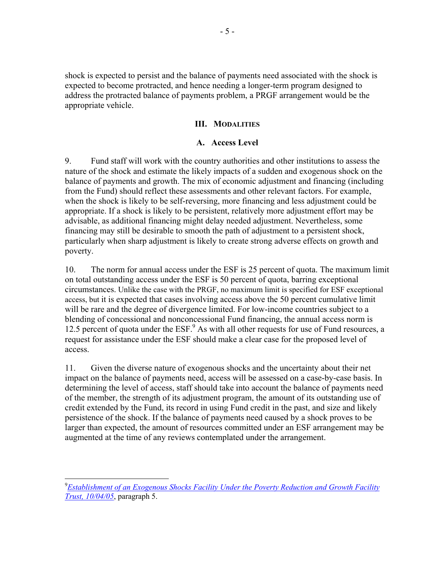shock is expected to persist and the balance of payments need associated with the shock is expected to become protracted, and hence needing a longer-term program designed to address the protracted balance of payments problem, a PRGF arrangement would be the appropriate vehicle.

#### **III. MODALITIES**

#### **A. Access Level**

9. Fund staff will work with the country authorities and other institutions to assess the nature of the shock and estimate the likely impacts of a sudden and exogenous shock on the balance of payments and growth. The mix of economic adjustment and financing (including from the Fund) should reflect these assessments and other relevant factors. For example, when the shock is likely to be self-reversing, more financing and less adjustment could be appropriate. If a shock is likely to be persistent, relatively more adjustment effort may be advisable, as additional financing might delay needed adjustment. Nevertheless, some financing may still be desirable to smooth the path of adjustment to a persistent shock, particularly when sharp adjustment is likely to create strong adverse effects on growth and poverty.

10. The norm for annual access under the ESF is 25 percent of quota. The maximum limit on total outstanding access under the ESF is 50 percent of quota, barring exceptional circumstances. Unlike the case with the PRGF, no maximum limit is specified for ESF exceptional access, but it is expected that cases involving access above the 50 percent cumulative limit will be rare and the degree of divergence limited. For low-income countries subject to a blending of concessional and nonconcessional Fund financing, the annual access norm is 12.5 percent of quota under the ESF.<sup>9</sup> As with all other requests for use of Fund resources, a request for assistance under the ESF should make a clear case for the proposed level of access.

11. Given the diverse nature of exogenous shocks and the uncertainty about their net impact on the balance of payments need, access will be assessed on a case-by-case basis. In determining the level of access, staff should take into account the balance of payments need of the member, the strength of its adjustment program, the amount of its outstanding use of credit extended by the Fund, its record in using Fund credit in the past, and size and likely persistence of the shock. If the balance of payments need caused by a shock proves to be larger than expected, the amount of resources committed under an ESF arrangement may be augmented at the time of any reviews contemplated under the arrangement.

<sup>9</sup> *[Establishment of an Exogenous Shocks Facility Under the Poverty Reduction and Growth Facility](http://www.imf.org/external/np/pp/eng/2005/100405.pdf)  [Trust, 10/04/05](http://www.imf.org/external/np/pp/eng/2005/100405.pdf)*, paragraph 5.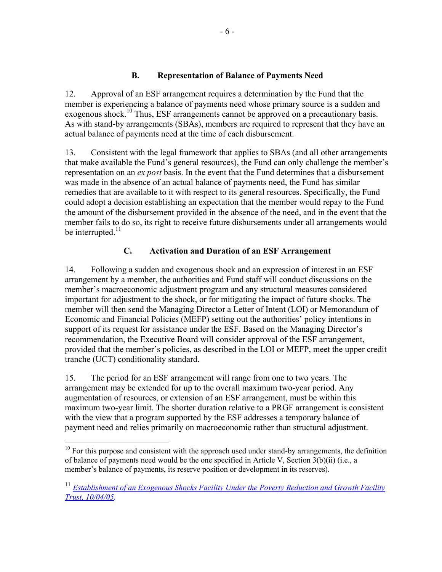## **B. Representation of Balance of Payments Need**

12. Approval of an ESF arrangement requires a determination by the Fund that the member is experiencing a balance of payments need whose primary source is a sudden and exogenous shock.<sup>10</sup> Thus, ESF arrangements cannot be approved on a precautionary basis. As with stand-by arrangements (SBAs), members are required to represent that they have an actual balance of payments need at the time of each disbursement.

13. Consistent with the legal framework that applies to SBAs (and all other arrangements that make available the Fund's general resources), the Fund can only challenge the member's representation on an *ex post* basis. In the event that the Fund determines that a disbursement was made in the absence of an actual balance of payments need, the Fund has similar remedies that are available to it with respect to its general resources. Specifically, the Fund could adopt a decision establishing an expectation that the member would repay to the Fund the amount of the disbursement provided in the absence of the need, and in the event that the member fails to do so, its right to receive future disbursements under all arrangements would be interrupted. $11$ 

## **C. Activation and Duration of an ESF Arrangement**

14. Following a sudden and exogenous shock and an expression of interest in an ESF arrangement by a member, the authorities and Fund staff will conduct discussions on the member's macroeconomic adjustment program and any structural measures considered important for adjustment to the shock, or for mitigating the impact of future shocks. The member will then send the Managing Director a Letter of Intent (LOI) or Memorandum of Economic and Financial Policies (MEFP) setting out the authorities' policy intentions in support of its request for assistance under the ESF. Based on the Managing Director's recommendation, the Executive Board will consider approval of the ESF arrangement, provided that the member's policies, as described in the LOI or MEFP, meet the upper credit tranche (UCT) conditionality standard.

15. The period for an ESF arrangement will range from one to two years. The arrangement may be extended for up to the overall maximum two-year period. Any augmentation of resources, or extension of an ESF arrangement, must be within this maximum two-year limit. The shorter duration relative to a PRGF arrangement is consistent with the view that a program supported by the ESF addresses a temporary balance of payment need and relies primarily on macroeconomic rather than structural adjustment.

 $10$  For this purpose and consistent with the approach used under stand-by arrangements, the definition of balance of payments need would be the one specified in Article V, Section 3(b)(ii) (i.e., a member's balance of payments, its reserve position or development in its reserves).

<sup>&</sup>lt;sup>11</sup> *Establishment of an Exogenous Shocks Facility Under the Poverty Reduction and Growth Facility [Trust, 10/04/05](http://www.imf.org/external/np/pp/eng/2005/100405.pdf).*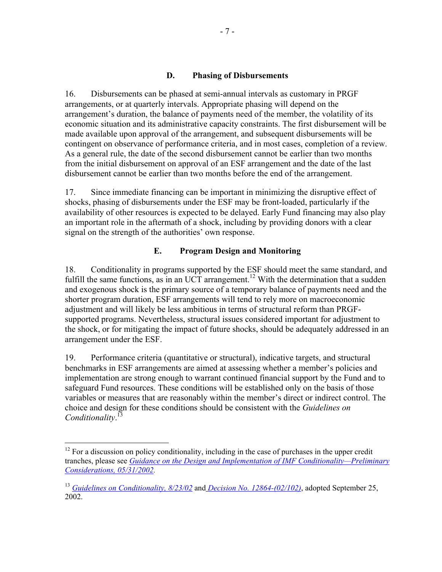#### **D. Phasing of Disbursements**

16. Disbursements can be phased at semi-annual intervals as customary in PRGF arrangements, or at quarterly intervals. Appropriate phasing will depend on the arrangement's duration, the balance of payments need of the member, the volatility of its economic situation and its administrative capacity constraints. The first disbursement will be made available upon approval of the arrangement, and subsequent disbursements will be contingent on observance of performance criteria, and in most cases, completion of a review. As a general rule, the date of the second disbursement cannot be earlier than two months from the initial disbursement on approval of an ESF arrangement and the date of the last disbursement cannot be earlier than two months before the end of the arrangement.

17. Since immediate financing can be important in minimizing the disruptive effect of shocks, phasing of disbursements under the ESF may be front-loaded, particularly if the availability of other resources is expected to be delayed. Early Fund financing may also play an important role in the aftermath of a shock, including by providing donors with a clear signal on the strength of the authorities' own response.

## **E. Program Design and Monitoring**

18. Conditionality in programs supported by the ESF should meet the same standard, and fulfill the same functions, as in an UCT arrangement.<sup>12</sup> With the determination that a sudden and exogenous shock is the primary source of a temporary balance of payments need and the shorter program duration, ESF arrangements will tend to rely more on macroeconomic adjustment and will likely be less ambitious in terms of structural reform than PRGFsupported programs. Nevertheless, structural issues considered important for adjustment to the shock, or for mitigating the impact of future shocks, should be adequately addressed in an arrangement under the ESF.

19. Performance criteria (quantitative or structural), indicative targets, and structural benchmarks in ESF arrangements are aimed at assessing whether a member's policies and implementation are strong enough to warrant continued financial support by the Fund and to safeguard Fund resources. These conditions will be established only on the basis of those variables or measures that are reasonably within the member's direct or indirect control. The choice and design for these conditions should be consistent with the *Guidelines on Conditionality*. 13

1

 $12$  For a discussion on policy conditionality, including in the case of purchases in the upper credit tranches, please see *[Guidance on the Design and Implementation of IMF Conditionality—Preliminary](http://www.imf.org/external/np/pdr/cond/2002/eng/guid/053102.htm)  [Considerations, 05/31/2002.](http://www.imf.org/external/np/pdr/cond/2002/eng/guid/053102.htm)*

<sup>13</sup> *[Guidelines on Conditionality, 8/23/02](http://www.imf.org/external/np/pdr/cond/2002/eng/guid/092302.htm)* and *[Decision No. 12864-\(02/102\)](http://www.imf.org/external/pubs/ft/sd/index.asp?decision=12864-(02/102))*, adopted September 25, 2002.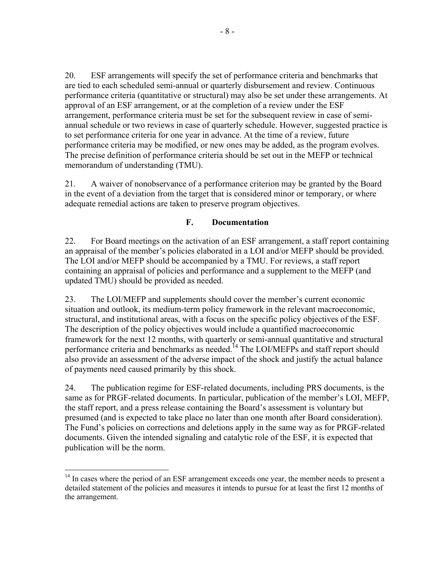20. ESF arrangements will specify the set of performance criteria and benchmarks that are tied to each scheduled semi-annual or quarterly disbursement and review. Continuous performance criteria (quantitative or structural) may also be set under these arrangements. At approval of an ESF arrangement, or at the completion of a review under the ESF arrangement, performance criteria must be set for the subsequent review in case of semiannual schedule or two reviews in case of quarterly schedule. However, suggested practice is to set performance criteria for one year in advance. At the time of a review, future performance criteria may be modified, or new ones may be added, as the program evolves. The precise definition of performance criteria should be set out in the MEFP or technical memorandum of understanding (TMU).

21. A waiver of nonobservance of a performance criterion may be granted by the Board in the event of a deviation from the target that is considered minor or temporary, or where adequate remedial actions are taken to preserve program objectives.

## **F. Documentation**

22. For Board meetings on the activation of an ESF arrangement, a staff report containing an appraisal of the member's policies elaborated in a LOI and/or MEFP should be provided. The LOI and/or MEFP should be accompanied by a TMU. For reviews, a staff report containing an appraisal of policies and performance and a supplement to the MEFP (and updated TMU) should be provided as needed.

23. The LOI/MEFP and supplements should cover the member's current economic situation and outlook, its medium-term policy framework in the relevant macroeconomic, structural, and institutional areas, with a focus on the specific policy objectives of the ESF. The description of the policy objectives would include a quantified macroeconomic framework for the next 12 months, with quarterly or semi-annual quantitative and structural performance criteria and benchmarks as needed.<sup>14</sup> The LOI/MEFPs and staff report should also provide an assessment of the adverse impact of the shock and justify the actual balance of payments need caused primarily by this shock.

24. The publication regime for ESF-related documents, including PRS documents, is the same as for PRGF-related documents. In particular, publication of the member's LOI, MEFP, the staff report, and a press release containing the Board's assessment is voluntary but presumed (and is expected to take place no later than one month after Board consideration). The Fund's policies on corrections and deletions apply in the same way as for PRGF-related documents. Given the intended signaling and catalytic role of the ESF, it is expected that publication will be the norm.

1

<sup>&</sup>lt;sup>14</sup> In cases where the period of an ESF arrangement exceeds one year, the member needs to present a detailed statement of the policies and measures it intends to pursue for at least the first 12 months of the arrangement.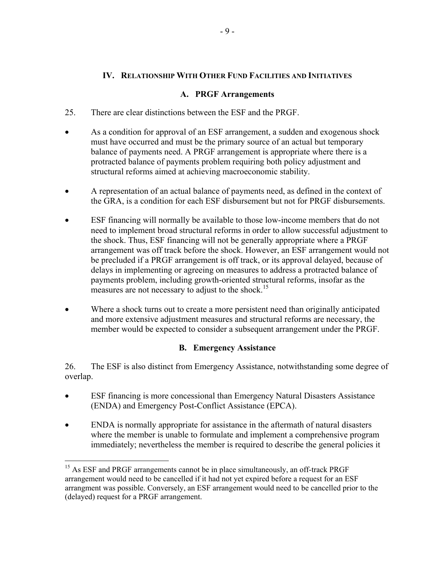## **IV. RELATIONSHIP WITH OTHER FUND FACILITIES AND INITIATIVES**

#### **A. PRGF Arrangements**

- 25. There are clear distinctions between the ESF and the PRGF.
- As a condition for approval of an ESF arrangement, a sudden and exogenous shock must have occurred and must be the primary source of an actual but temporary balance of payments need. A PRGF arrangement is appropriate where there is a protracted balance of payments problem requiring both policy adjustment and structural reforms aimed at achieving macroeconomic stability.
- A representation of an actual balance of payments need, as defined in the context of the GRA, is a condition for each ESF disbursement but not for PRGF disbursements.
- ESF financing will normally be available to those low-income members that do not need to implement broad structural reforms in order to allow successful adjustment to the shock. Thus, ESF financing will not be generally appropriate where a PRGF arrangement was off track before the shock. However, an ESF arrangement would not be precluded if a PRGF arrangement is off track, or its approval delayed, because of delays in implementing or agreeing on measures to address a protracted balance of payments problem, including growth-oriented structural reforms, insofar as the measures are not necessary to adjust to the shock.<sup>15</sup>
- Where a shock turns out to create a more persistent need than originally anticipated and more extensive adjustment measures and structural reforms are necessary, the member would be expected to consider a subsequent arrangement under the PRGF.

## **B. Emergency Assistance**

26. The ESF is also distinct from Emergency Assistance, notwithstanding some degree of overlap.

- ESF financing is more concessional than Emergency Natural Disasters Assistance (ENDA) and Emergency Post-Conflict Assistance (EPCA).
- ENDA is normally appropriate for assistance in the aftermath of natural disasters where the member is unable to formulate and implement a comprehensive program immediately; nevertheless the member is required to describe the general policies it

<sup>&</sup>lt;sup>15</sup> As ESF and PRGF arrangements cannot be in place simultaneously, an off-track PRGF arrangement would need to be cancelled if it had not yet expired before a request for an ESF arrangment was possible. Conversely, an ESF arrangement would need to be cancelled prior to the (delayed) request for a PRGF arrangement.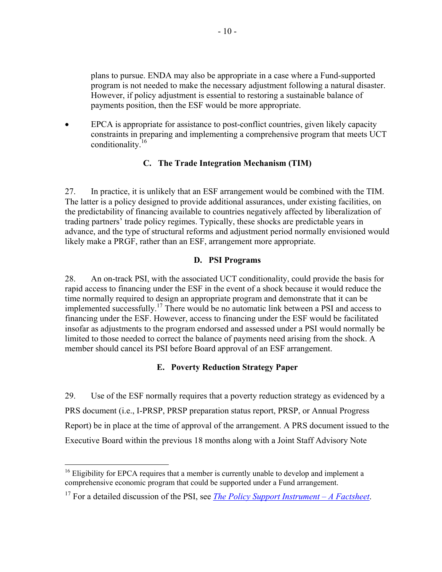plans to pursue. ENDA may also be appropriate in a case where a Fund-supported program is not needed to make the necessary adjustment following a natural disaster. However, if policy adjustment is essential to restoring a sustainable balance of payments position, then the ESF would be more appropriate.

EPCA is appropriate for assistance to post-conflict countries, given likely capacity constraints in preparing and implementing a comprehensive program that meets UCT conditionality.<sup>16</sup>

## **C. The Trade Integration Mechanism (TIM)**

27. In practice, it is unlikely that an ESF arrangement would be combined with the TIM. The latter is a policy designed to provide additional assurances, under existing facilities, on the predictability of financing available to countries negatively affected by liberalization of trading partners' trade policy regimes. Typically, these shocks are predictable years in advance, and the type of structural reforms and adjustment period normally envisioned would likely make a PRGF, rather than an ESF, arrangement more appropriate.

#### **D. PSI Programs**

28. An on-track PSI, with the associated UCT conditionality, could provide the basis for rapid access to financing under the ESF in the event of a shock because it would reduce the time normally required to design an appropriate program and demonstrate that it can be implemented successfully.17 There would be no automatic link between a PSI and access to financing under the ESF. However, access to financing under the ESF would be facilitated insofar as adjustments to the program endorsed and assessed under a PSI would normally be limited to those needed to correct the balance of payments need arising from the shock. A member should cancel its PSI before Board approval of an ESF arrangement.

## **E. Poverty Reduction Strategy Paper**

29. Use of the ESF normally requires that a poverty reduction strategy as evidenced by a PRS document (i.e., I-PRSP, PRSP preparation status report, PRSP, or Annual Progress Report) be in place at the time of approval of the arrangement. A PRS document issued to the Executive Board within the previous 18 months along with a Joint Staff Advisory Note

<sup>&</sup>lt;sup>16</sup> Eligibility for EPCA requires that a member is currently unable to develop and implement a comprehensive economic program that could be supported under a Fund arrangement.

<sup>17</sup> For a detailed discussion of the PSI, see *[The Policy Support Instrument – A Factsheet](http://www.imf.org/external/np/exr/facts/psi.htm)*.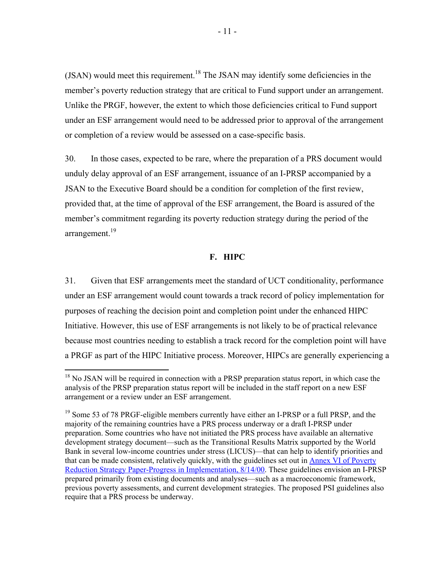$(JSAN)$  would meet this requirement.<sup>18</sup> The JSAN may identify some deficiencies in the member's poverty reduction strategy that are critical to Fund support under an arrangement. Unlike the PRGF, however, the extent to which those deficiencies critical to Fund support under an ESF arrangement would need to be addressed prior to approval of the arrangement or completion of a review would be assessed on a case-specific basis.

30. In those cases, expected to be rare, where the preparation of a PRS document would unduly delay approval of an ESF arrangement, issuance of an I-PRSP accompanied by a JSAN to the Executive Board should be a condition for completion of the first review, provided that, at the time of approval of the ESF arrangement, the Board is assured of the member's commitment regarding its poverty reduction strategy during the period of the arrangement.<sup>19</sup>

#### **F. HIPC**

31. Given that ESF arrangements meet the standard of UCT conditionality, performance under an ESF arrangement would count towards a track record of policy implementation for purposes of reaching the decision point and completion point under the enhanced HIPC Initiative. However, this use of ESF arrangements is not likely to be of practical relevance because most countries needing to establish a track record for the completion point will have a PRGF as part of the HIPC Initiative process. Moreover, HIPCs are generally experiencing a

1

 $18$  No JSAN will be required in connection with a PRSP preparation status report, in which case the analysis of the PRSP preparation status report will be included in the staff report on a new ESF arrangement or a review under an ESF arrangement.

<sup>&</sup>lt;sup>19</sup> Some 53 of 78 PRGF-eligible members currently have either an I-PRSP or a full PRSP, and the majority of the remaining countries have a PRS process underway or a draft I-PRSP under preparation. Some countries who have not initiated the PRS process have available an alternative development strategy document—such as the Transitional Results Matrix supported by the World Bank in several low-income countries under stress (LICUS)—that can help to identify priorities and that can be made consistent, relatively quickly, with the guidelines set out in **Annex VI** of Poverty [Reduction Strategy Paper-Progress in Implementation, 8/14/00.](http://www.imf.org/external/np/prsp/2000/prsp.htm) These guidelines envision an I-PRSP prepared primarily from existing documents and analyses—such as a macroeconomic framework, previous poverty assessments, and current development strategies. The proposed PSI guidelines also require that a PRS process be underway.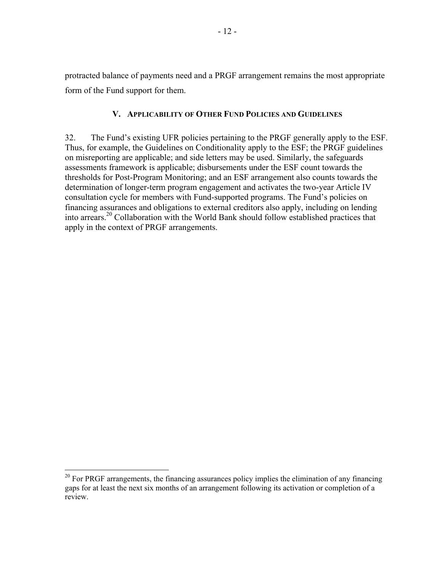protracted balance of payments need and a PRGF arrangement remains the most appropriate form of the Fund support for them.

## **V. APPLICABILITY OF OTHER FUND POLICIES AND GUIDELINES**

32. The Fund's existing UFR policies pertaining to the PRGF generally apply to the ESF. Thus, for example, the Guidelines on Conditionality apply to the ESF; the PRGF guidelines on misreporting are applicable; and side letters may be used. Similarly, the safeguards assessments framework is applicable; disbursements under the ESF count towards the thresholds for Post-Program Monitoring; and an ESF arrangement also counts towards the determination of longer-term program engagement and activates the two-year Article IV consultation cycle for members with Fund-supported programs. The Fund's policies on financing assurances and obligations to external creditors also apply, including on lending into arrears.20 Collaboration with the World Bank should follow established practices that apply in the context of PRGF arrangements.

 $20$  For PRGF arrangements, the financing assurances policy implies the elimination of any financing gaps for at least the next six months of an arrangement following its activation or completion of a review.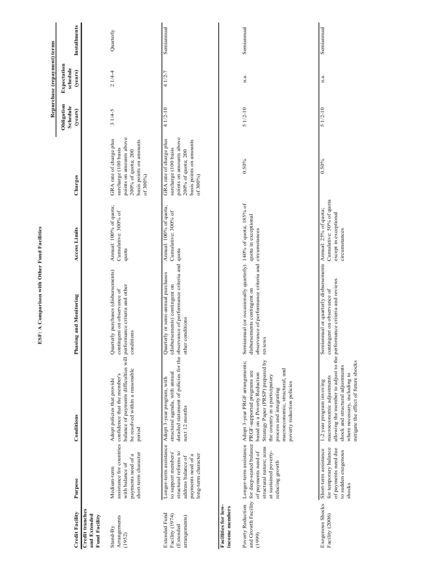|                                                                |                                                                                                                 |                                                                                                                                                                                                                                                                                                                                                       |                                                                                                                                                                                |                                                                    |                                                                                                                                         |                                   | Repurchase (repayment) terms       |                     |
|----------------------------------------------------------------|-----------------------------------------------------------------------------------------------------------------|-------------------------------------------------------------------------------------------------------------------------------------------------------------------------------------------------------------------------------------------------------------------------------------------------------------------------------------------------------|--------------------------------------------------------------------------------------------------------------------------------------------------------------------------------|--------------------------------------------------------------------|-----------------------------------------------------------------------------------------------------------------------------------------|-----------------------------------|------------------------------------|---------------------|
| <b>Credit Facility</b>                                         | Purpose                                                                                                         | Conditions                                                                                                                                                                                                                                                                                                                                            | Phasing and Monitoring                                                                                                                                                         | <b>Access Limits</b>                                               | Charges                                                                                                                                 | Obligation<br>Schedule<br>(years) | Expectation<br>schedule<br>(years) | <b>Installments</b> |
| Credit tranches<br>and Extended<br><b>Fund Facility</b>        |                                                                                                                 |                                                                                                                                                                                                                                                                                                                                                       |                                                                                                                                                                                |                                                                    |                                                                                                                                         |                                   |                                    |                     |
| Arrangements<br>Stand-By<br>(1952)                             | short-term character<br>payments need of a<br>with balance of<br>Medium-term                                    | balance of payments difficulties will performance criteria and other<br>be resolved within a reasonable<br>assistance for countries confidence that the member's<br>Adopt policies that provide<br>period                                                                                                                                             | Quarterly purchases (disbursements)<br>contingent on observance of<br>conditions                                                                                               | Annual: 100% of quota;<br>Cumulative: 300% of<br>quota             | points on amounts above<br>GRA rate of charge plus<br>basis points on amounts<br>surcharge (100 basis<br>200% of quota; 200<br>of 300%) | $31/4-5$                          | $21/4-4$                           | Quarterly           |
| Extended Fund<br>Facility (1974)<br>arrangements)<br>(Extended | to support members'<br>structural reforms to<br>long-term character<br>payments need of a<br>address balance of | structural agenda, with annual<br>Longer-term assistance Adopt 3-year program, with<br>next 12 months                                                                                                                                                                                                                                                 | detailed statement of policies for the observance of performance criteria and quota<br>Quarterly or semi-annual purchases<br>(disbursements) contingent on<br>other conditions | Annual: 100% of quota;<br>Cumulative: 300% of                      | points on amounts above<br>GRA rate of charge plus<br>basis points on amounts<br>surcharge (100 basis<br>200% of quota; 200<br>of 300%) | $41/2-10$                         | 4 1/2-7                            | Semiannual          |
| Facilities for low-<br>income members                          |                                                                                                                 |                                                                                                                                                                                                                                                                                                                                                       |                                                                                                                                                                                |                                                                    |                                                                                                                                         |                                   |                                    |                     |
| (1999)                                                         | structural nature; aims<br>of payments need of<br>at sustained poverty-<br>reducing growth                      | Strategy Paper (PRSP) prepared by<br>Poverty Reduction Longer-term assistance Adopt 3-year PRGF arrangements;<br>macroeconomic, structural, and<br>and Growth Facility for deep-seated balance PRGF-supported programs are<br>based on a Poverty Reduction<br>the country in a participatory<br>poverty reduction policies<br>process and integrating | Semiannual (or occasionally quarterly) 140% of quota; 185% of<br>observance of performance criteria and<br>disbursements contingent on<br>reviews                              | quota in exceptional<br>circumstances                              | $0.50\%$                                                                                                                                | $51/2 - 10$                       | n.a.                               | Semiannual          |
| Exogenous Shocks<br>Facility (2006)                            | for temporary balance<br>Short-term assistance<br>of payments need due<br>to sudden exogenous<br>shocks         | allowing the member to adjust to the performance criteria and reviews<br>mitigate the effect of future shocks<br>shock and structural adjustments<br>where necessary, including to<br>macroeconomic adjustments<br>1-2 year program invoving                                                                                                          | Semiannual or quarterly disbursements Annual: 25% of quota;<br>contingent on observance of                                                                                     | Cumulative: 50% of quota<br>except in exceptional<br>circumstances | 0.50%                                                                                                                                   | $51/2-10$                         | n.a.                               | Semiannual          |

ESF: A Comparison with Other Fund Facilities **ESF: A Comparison with Other Fund Facilities**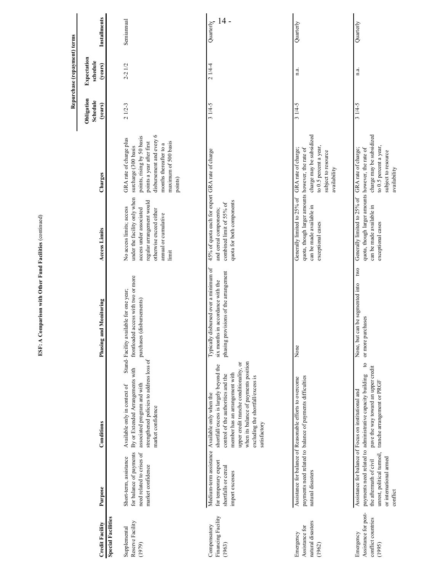|                                                                   |                                                                                                     |                                                                                                                                                                                                                                                                                                           |                                                                                                                          |                                                                                                                                                                              |                                                                                                                                                                                                     |                                   | Repurchase (repayment) terms       |                     |
|-------------------------------------------------------------------|-----------------------------------------------------------------------------------------------------|-----------------------------------------------------------------------------------------------------------------------------------------------------------------------------------------------------------------------------------------------------------------------------------------------------------|--------------------------------------------------------------------------------------------------------------------------|------------------------------------------------------------------------------------------------------------------------------------------------------------------------------|-----------------------------------------------------------------------------------------------------------------------------------------------------------------------------------------------------|-----------------------------------|------------------------------------|---------------------|
| <b>Credit Facility</b>                                            | Purpose                                                                                             | Conditions                                                                                                                                                                                                                                                                                                | and Monitoring<br>Phasing                                                                                                | <b>Access Limits</b>                                                                                                                                                         | Charges                                                                                                                                                                                             | Obligation<br>Schedule<br>(years) | Expectation<br>schedule<br>(years) | Installments        |
| <b>Special Facilities</b>                                         |                                                                                                     |                                                                                                                                                                                                                                                                                                           |                                                                                                                          |                                                                                                                                                                              |                                                                                                                                                                                                     |                                   |                                    |                     |
| Reserve Facility<br>Supplemental<br>(1979)                        | for balance of payments<br>need related to crises of<br>Short-term, assistance<br>market confidence | strengthened policies to address loss of<br>By or Extended Arrangements with<br>associated program and with<br>Available only in context of<br>market confidence                                                                                                                                          | led access with two or more<br>Stand-Facility available for one year;<br>purchases (disbursements)<br>frontload          | under the facility only when<br>regular arrangement would<br>No access limits; access<br>access under associated<br>otherwise exceed either<br>annual or cumulative<br>limit | disbursement and every 6<br>points, rising by 50 basis<br>GRA rate of charge plus<br>maximum of 500 basis<br>points a year after first<br>months thereafter to a<br>surcharge (300 basis<br>points) | $21/2-3$                          | $2 - 21/2$                         | Semiannual          |
| Financing Facility<br>Compensatory<br>(1963)                      | for temporary export<br>shortfalls or cereal<br>import excesses                                     | when its balance of payments position<br>upper credit tranche conditionality, or<br>shortfall/excess is largely beyond the<br>member has an arrangement with<br>control of the authorities and the<br>excluding the shortfall/excess is<br>Medium-term assistance Available only when the<br>satisfactory | Typically disbursed over a minimum of<br>provisions of the arrangement<br>six months in accordance with the<br>phasing J | 45% of quota each for export GRA rate of charge<br>quota for both components<br>combined limit of 55% of<br>and cereal components;                                           |                                                                                                                                                                                                     | $31/4-5$                          | 21/44                              | $14 -$<br>Quarterly |
| natural disasters<br>Assistance for<br>Emergency<br>(1962)        | natural disasters                                                                                   | payments need related to balance of payments difficulties<br>Assistance for balance of Reasonable efforts to overcome                                                                                                                                                                                     | None                                                                                                                     | quota, though larger amounts however, the rate of<br>Generally limited to 25% of<br>can be made available in<br>exceptional cases                                            | charge may be subsidized<br>to 0.5 percent a year,<br>GRA rate of charge;<br>subject to resource<br>availability                                                                                    | $31/4-5$                          | n.a.                               | Quarterly           |
| Assistance for post-<br>conflict countries<br>Emergency<br>(1995) | unrest, political turmoil,<br>or international armed<br>the aftermath of civil<br>conflict          | $\mathfrak{g}$<br>pave the way toward an upper credit<br>payments need related to administrative capacity building<br>tranche arrangement or PRGF<br>Assistance for balance of Focus on institutional and                                                                                                 | two<br>None, but can be segmented into<br>or more purchases                                                              | quota, though larger amounts however, the rate of<br>Generally limited to 25% of<br>can be made available in<br>exceptional cases                                            | charge may be subsidized<br>to 0.5 percent a year,<br>GRA rate of charge;<br>subject to resource<br>availability                                                                                    | $31/4-5$                          | n.a.                               | Quarterly           |

ESF: A Comparison with Other Fund Facilities (continued) **ESF: A Comparison with Other Fund Facilities** (continued)